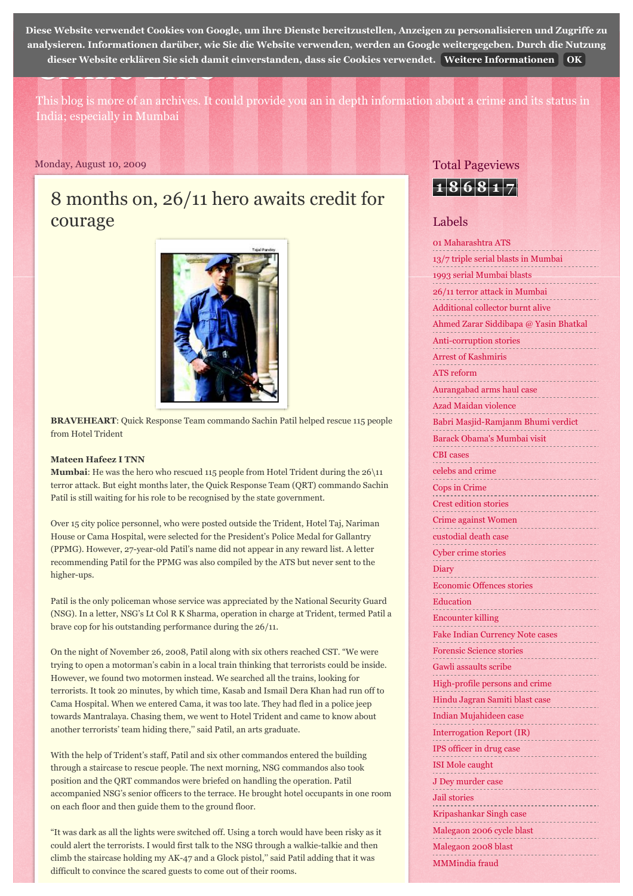dieser Website erklären Sie sich damit einverstanden, dass sie Cookies verwendet. [Weitere Informationen](https://www.blogger.com/go/blogspot-cookies) [OK](http://mateenhafeez.blogspot.de/2009/08/8-months-on-2611-hero-awaits-credit-for.html#) 0 Mehr [Nächster Blog»](https://www.blogger.com/next-blog?navBar=true&blogID=3428592427400290243) [Blog erstellen](https://www.blogger.com/home#create) [Anmelden](https://www.blogger.com/) **[D](https://www.blogger.com/)iese Website verwendet Cookies von Google, um ihre Dienste bereitzustellen, Anzeigen zu personalisieren und Zugriffe zu analysieren. Informationen darüber, wie Sie die Website verwenden, werden an Google weitergegeben. Durch die Nutzung**

This blog is more of an archives. It could provide you an in depth information about a crime and its status in India; especially in Mumbai

#### Monday, August 10, 2009

# 8 months on, 26/11 hero awaits credit for courage



**BRAVEHEART**: Quick Response Team commando Sachin Patil helped rescue 115 people from Hotel Trident

### **Mateen Hafeez I TNN**

**Mumbai**: He was the hero who rescued 115 people from Hotel Trident during the 26\11 terror attack. But eight months later, the Quick Response Team (QRT) commando Sachin Patil is still waiting for his role to be recognised by the state government.

Over 15 city police personnel, who were posted outside the Trident, Hotel Taj, Nariman House or Cama Hospital, were selected for the President's Police Medal for Gallantry (PPMG). However, 27-year-old Patil's name did not appear in any reward list. A letter recommending Patil for the PPMG was also compiled by the ATS but never sent to the higher-ups.

Patil is the only policeman whose service was appreciated by the National Security Guard (NSG). In a letter, NSG's Lt Col R K Sharma, operation in charge at Trident, termed Patil a brave cop for his outstanding performance during the 26/11.

On the night of November 26, 2008, Patil along with six others reached CST. "We were trying to open a motorman's cabin in a local train thinking that terrorists could be inside. However, we found two motormen instead. We searched all the trains, looking for terrorists. It took 20 minutes, by which time, Kasab and Ismail Dera Khan had run off to Cama Hospital. When we entered Cama, it was too late. They had fled in a police jeep towards Mantralaya. Chasing them, we went to Hotel Trident and came to know about another terrorists' team hiding there,'' said Patil, an arts graduate.

With the help of Trident's staff, Patil and six other commandos entered the building through a staircase to rescue people. The next morning, NSG commandos also took position and the QRT commandos were briefed on handling the operation. Patil accompanied NSG's senior officers to the terrace. He brought hotel occupants in one room on each floor and then guide them to the ground floor.

"It was dark as all the lights were switched off. Using a torch would have been risky as it could alert the terrorists. I would first talk to the NSG through a walkie-talkie and then climb the staircase holding my AK-47 and a Glock pistol,'' said Patil adding that it was difficult to convince the scared guests to come out of their rooms.

### Total Pageviews



## Labels

| 01 Maharashtra ATS                    |
|---------------------------------------|
| 13/7 triple serial blasts in Mumbai   |
| 1993 serial Mumbai blasts             |
| 26/11 terror attack in Mumbai         |
| Additional collector burnt alive      |
| hmed Zarar Siddibapa @ Yasin Bhatkal  |
| Anti-corruption stories<br>---------- |
| Arrest of Kashmiris                   |
| <b>ATS</b> reform                     |
| urangabad arms haul case              |
| Azad Maidan violence<br>.             |
| Babri Masjid-Ramjanm Bhumi verdict    |
| Barack Obama's Mumbai visit           |
| <b>CBI</b> cases                      |
| celebs and crime                      |
| Cops in Crime                         |
| rest edition stories                  |
| <b>Crime against Women</b>            |
| custodial death case                  |
| Cyber crime stories                   |
| Diary                                 |
| Economic Offences stories             |
| Education                             |
| ncounter killing                      |
| Fake Indian Currency Note cases       |
| prensic Science s                     |
| awli assaults scribe                  |
| ligh-profile persons and crime        |
| Hindu Jagran Samiti blast case        |
| Indian Mujahideen case                |
| Interrogation Report (IR)             |
| IPS officer in drug case              |
| .<br><b>ISI</b> Mole caught           |
| J Dey murder case                     |
| ------------------<br>Jail stories    |
| Kripashankar Singh case               |
| Malegaon 2006 cycle blast             |
| Malegaon 2008 blast                   |
| MMMindia fraud                        |
|                                       |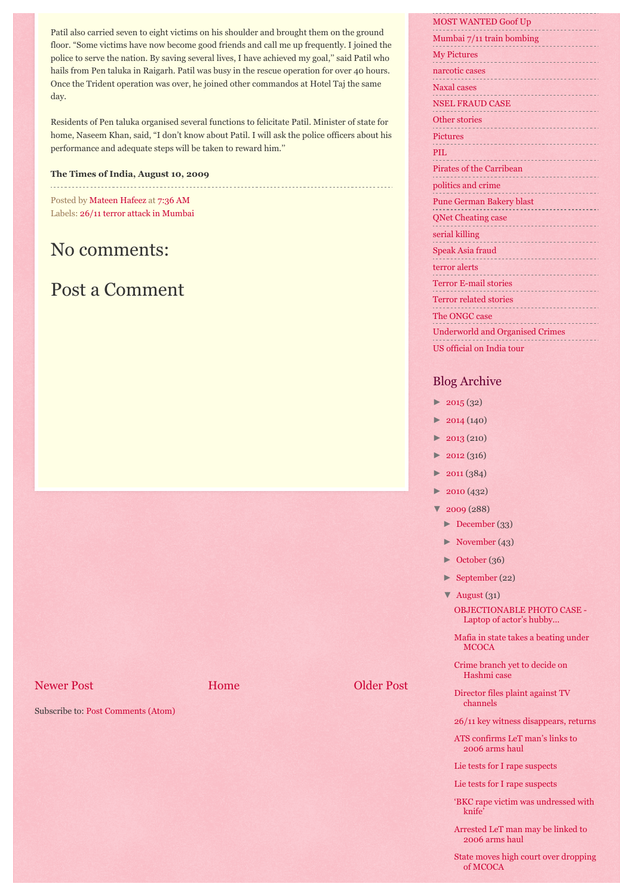Patil also carried seven to eight victims on his shoulder and brought them on the ground floor. "Some victims have now become good friends and call me up frequently. I joined the police to serve the nation. By saving several lives, I have achieved my goal,'' said Patil who hails from Pen taluka in Raigarh. Patil was busy in the rescue operation for over 40 hours. Once the Trident operation was over, he joined other commandos at Hotel Taj the same day.

Residents of Pen taluka organised several functions to felicitate Patil. Minister of state for home, Naseem Khan, said, "I don't know about Patil. I will ask the police officers about his performance and adequate steps will be taken to reward him.''

#### **The Times of India, August 10, 2009**

Posted by [Mateen Hafeez](https://www.blogger.com/profile/00224423098332710610) at [7:36 AM](http://mateenhafeez.blogspot.de/2009/08/8-months-on-2611-hero-awaits-credit-for.html) Labels: [26/11 terror attack in Mumbai](http://mateenhafeez.blogspot.de/search/label/26%2F11%20terror%20attack%20in%20Mumbai)

# No comments:

# Post a Comment

#### [Newer Post](http://mateenhafeez.blogspot.de/2009/08/pak-admits-four-dead-terrorists-are-its.html) **[Home](http://mateenhafeez.blogspot.de/)** [Older Post](http://mateenhafeez.blogspot.de/2009/08/shootout-at-nagpada-was-supari-killing.html) **Older Post**

Subscribe to: [Post Comments \(Atom\)](http://mateenhafeez.blogspot.com/feeds/2685740348576777852/comments/default)

# [MOST WANTED Goof Up](http://mateenhafeez.blogspot.de/search/label/MOST%20WANTED%20Goof%20Up)

| Mumbai 7/11 train bombing                                                                                                                                                                                                                               |
|---------------------------------------------------------------------------------------------------------------------------------------------------------------------------------------------------------------------------------------------------------|
| <b>My Pictures</b>                                                                                                                                                                                                                                      |
| narcotic cases                                                                                                                                                                                                                                          |
| <b>Naxal</b> cases                                                                                                                                                                                                                                      |
| <b>NSEL FRAUD CASE</b>                                                                                                                                                                                                                                  |
| <b>Other stories</b>                                                                                                                                                                                                                                    |
| <b>Pictures</b><br><u>Strandard Strandard Strandard Strandard Strandard Strandard Strandard Strandard Strandard Strandard Strandard Strandard Strandard Strandard Strandard Strandard Strandard Strandard Strandard Strandard Strandard Strandard S</u> |
| PIL                                                                                                                                                                                                                                                     |
| <b>Pirates of the Carribean</b>                                                                                                                                                                                                                         |
| politics and crime                                                                                                                                                                                                                                      |
| <b>Pune German Bakery blast</b>                                                                                                                                                                                                                         |
| <b>QNet Cheating case</b>                                                                                                                                                                                                                               |
| serial killing<br>--------------------------                                                                                                                                                                                                            |
| Speak Asia fraud                                                                                                                                                                                                                                        |
| terror alerts                                                                                                                                                                                                                                           |
| <b>Terror E-mail stories</b>                                                                                                                                                                                                                            |
| <b>Terror related stories</b>                                                                                                                                                                                                                           |
| The ONGC case                                                                                                                                                                                                                                           |
| <b>Underworld and Organised Crimes</b>                                                                                                                                                                                                                  |
| US official on India tour                                                                                                                                                                                                                               |

# Blog Archive

- $\blacktriangleright$  [2015 \(](http://mateenhafeez.blogspot.de/search?updated-min=2015-01-01T00:00:00-08:00&updated-max=2016-01-01T00:00:00-08:00&max-results=32)32)
- [►](javascript:void(0)) [2014 \(](http://mateenhafeez.blogspot.de/search?updated-min=2014-01-01T00:00:00-08:00&updated-max=2015-01-01T00:00:00-08:00&max-results=50)140)
- [►](javascript:void(0)) [2013 \(](http://mateenhafeez.blogspot.de/search?updated-min=2013-01-01T00:00:00-08:00&updated-max=2014-01-01T00:00:00-08:00&max-results=50)210)
- $\blacktriangleright$  [2012 \(](http://mateenhafeez.blogspot.de/search?updated-min=2012-01-01T00:00:00-08:00&updated-max=2013-01-01T00:00:00-08:00&max-results=50)316)
- $\blacktriangleright$  [2011 \(](http://mateenhafeez.blogspot.de/search?updated-min=2011-01-01T00:00:00-08:00&updated-max=2012-01-01T00:00:00-08:00&max-results=50)384)
- $\blacktriangleright$  [2010 \(](http://mateenhafeez.blogspot.de/search?updated-min=2010-01-01T00:00:00-08:00&updated-max=2011-01-01T00:00:00-08:00&max-results=50)432)
- [▼](javascript:void(0)) [2009](http://mateenhafeez.blogspot.de/search?updated-min=2009-01-01T00:00:00-08:00&updated-max=2010-01-01T00:00:00-08:00&max-results=50) (288)
	- [►](javascript:void(0)) [December](http://mateenhafeez.blogspot.de/2009_12_01_archive.html) (33)
	- [►](javascript:void(0)) [November](http://mateenhafeez.blogspot.de/2009_11_01_archive.html) (43)
	- $\blacktriangleright$  [October \(](http://mateenhafeez.blogspot.de/2009_10_01_archive.html)36)
	- [►](javascript:void(0)) [September \(](http://mateenhafeez.blogspot.de/2009_09_01_archive.html)22)
	- [▼](javascript:void(0)) [August](http://mateenhafeez.blogspot.de/2009_08_01_archive.html) (31) [OBJECTIONABLE PHOTO CASE -](http://mateenhafeez.blogspot.de/2009/08/objectionable-photo-case-laptop-of.html) Laptop of actor's hubby...
	- [Mafia in state takes a beating under](http://mateenhafeez.blogspot.de/2009/08/mafia-in-state-takes-beating-under.html) **MCOCA**
	- [Crime branch yet to decide on](http://mateenhafeez.blogspot.de/2009/08/crime-branch-yet-to-decide-on-hashmi.html) Hashmi case
	- [Director files plaint against TV](http://mateenhafeez.blogspot.de/2009/08/director-files-plaint-against-tv.html) channels
	- [26/11 key witness disappears, returns](http://mateenhafeez.blogspot.de/2009/08/2611-key-witness-disappears-returns.html)
	- [ATS confirms LeT man's links to](http://mateenhafeez.blogspot.de/2009/08/ats-confirms-let-mans-links-to-2006.html) 2006 arms haul
	- [Lie tests for I rape suspects](http://mateenhafeez.blogspot.de/2009/08/lie-tests-for-i-rape-suspects.html)
	- [Lie tests for I rape suspects](http://mateenhafeez.blogspot.de/2009/08/lie-tests-for-i-rape-suspects_28.html)
	- ['BKC rape victim was undressed with](http://mateenhafeez.blogspot.de/2009/08/bkc-rape-victim-was-undressed-with.html) knife'
	- [Arrested LeT man may be linked to](http://mateenhafeez.blogspot.de/2009/08/arrested-let-man-may-be-linked-to-2006.html) 2006 arms haul
	- [State moves high court over dropping](http://mateenhafeez.blogspot.de/2009/08/state-moves-high-court-over-dropping-of.html) of MCOCA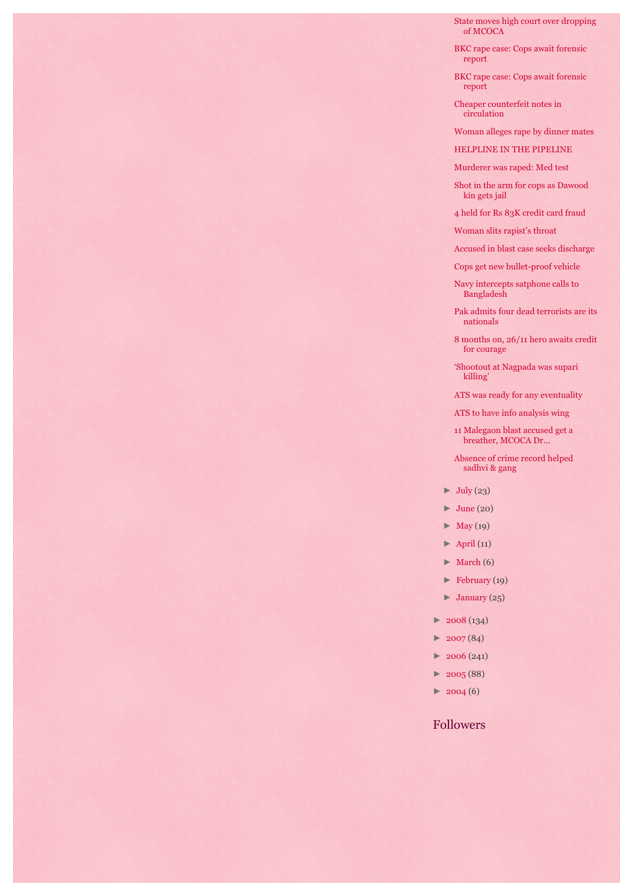[State moves high court over dropping](http://mateenhafeez.blogspot.de/2009/08/state-moves-high-court-over-dropping-of_25.html) of MCOCA

- [BKC rape case: Cops await forensic](http://mateenhafeez.blogspot.de/2009/08/bkc-rape-case-cops-await-forensic.html) report
- [BKC rape case: Cops await forensic](http://mateenhafeez.blogspot.de/2009/08/bkc-rape-case-cops-await-forensic_23.html) report
- [Cheaper counterfeit notes in](http://mateenhafeez.blogspot.de/2009/08/cheaper-counterfeit-notes-in.html) circulation
- [Woman alleges rape by dinner mates](http://mateenhafeez.blogspot.de/2009/08/woman-alleges-rape-by-dinner-mates.html)
- [HELPLINE IN THE PIPELINE](http://mateenhafeez.blogspot.de/2009/08/helpline-in-pipeline.html)
- [Murderer was raped: Med test](http://mateenhafeez.blogspot.de/2009/08/murderer-was-raped-med-test.html)
- [Shot in the arm for cops as Dawood](http://mateenhafeez.blogspot.de/2009/08/shot-in-arm-for-cops-as-dawood-kin-gets.html) kin gets jail
- [4 held for Rs 83K credit card fraud](http://mateenhafeez.blogspot.de/2009/08/4-held-for-rs-83k-credit-card-fraud.html)
- [Woman slits rapist's throat](http://mateenhafeez.blogspot.de/2009/08/woman-slits-rapists-throat.html)
- [Accused in blast case seeks discharge](http://mateenhafeez.blogspot.de/2009/08/accused-in-blast-case-seeks-discharge.html)
- [Cops get new bullet-proof vehicle](http://mateenhafeez.blogspot.de/2009/08/cops-get-new-bullet-proof-vehicle.html)
- [Navy intercepts satphone calls to](http://mateenhafeez.blogspot.de/2009/08/navy-intercepts-satphone-calls-to.html) Bangladesh
- [Pak admits four dead terrorists are its](http://mateenhafeez.blogspot.de/2009/08/pak-admits-four-dead-terrorists-are-its.html) nationals
- [8 months on, 26/11 hero awaits credit](http://mateenhafeez.blogspot.de/2009/08/8-months-on-2611-hero-awaits-credit-for.html) for courage
- ['Shootout at Nagpada was supari](http://mateenhafeez.blogspot.de/2009/08/shootout-at-nagpada-was-supari-killing.html) killing'
- [ATS was ready for any eventuality](http://mateenhafeez.blogspot.de/2009/08/ats-was-ready-for-any-eventuality.html)
- [ATS to have info analysis wing](http://mateenhafeez.blogspot.de/2009/08/ats-to-have-info-analysis-wing.html)
- [11 Malegaon blast accused get a](http://mateenhafeez.blogspot.de/2009/08/11-malegaon-blast-accused-get-breather.html) breather, MCOCA Dr...
- [Absence of crime record helped](http://mateenhafeez.blogspot.de/2009/08/absence-of-crime-record-helped-sadhvi.html) sadhvi & gang
- $\blacktriangleright$  [July \(](http://mateenhafeez.blogspot.de/2009_07_01_archive.html)23)
- $\blacktriangleright$  [June](http://mateenhafeez.blogspot.de/2009_06_01_archive.html) (20)
- $\blacktriangleright$  [May \(](http://mateenhafeez.blogspot.de/2009_05_01_archive.html)19)
- $\blacktriangleright$  [April \(](http://mateenhafeez.blogspot.de/2009_04_01_archive.html)11)
- [►](javascript:void(0)) [March](http://mateenhafeez.blogspot.de/2009_03_01_archive.html) (6)
- [►](javascript:void(0)) [February \(](http://mateenhafeez.blogspot.de/2009_02_01_archive.html)19)
- $\blacktriangleright$  [January \(](http://mateenhafeez.blogspot.de/2009_01_01_archive.html)25)
- $\blacktriangleright$  [2008 \(](http://mateenhafeez.blogspot.de/search?updated-min=2008-01-01T00:00:00-08:00&updated-max=2009-01-01T00:00:00-08:00&max-results=50)134)
- $\blacktriangleright$  [2007 \(](http://mateenhafeez.blogspot.de/search?updated-min=2007-01-01T00:00:00-08:00&updated-max=2008-01-01T00:00:00-08:00&max-results=50)84)
- $\blacktriangleright$  [2006](http://mateenhafeez.blogspot.de/search?updated-min=2006-01-01T00:00:00-08:00&updated-max=2007-01-01T00:00:00-08:00&max-results=50) (241)
- $\blacktriangleright$  [2005 \(](http://mateenhafeez.blogspot.de/search?updated-min=2005-01-01T00:00:00-08:00&updated-max=2006-01-01T00:00:00-08:00&max-results=50)88)
- $\blacktriangleright$  [2004](http://mateenhafeez.blogspot.de/search?updated-min=2004-01-01T00:00:00-08:00&updated-max=2005-01-01T00:00:00-08:00&max-results=6) (6)

## Followers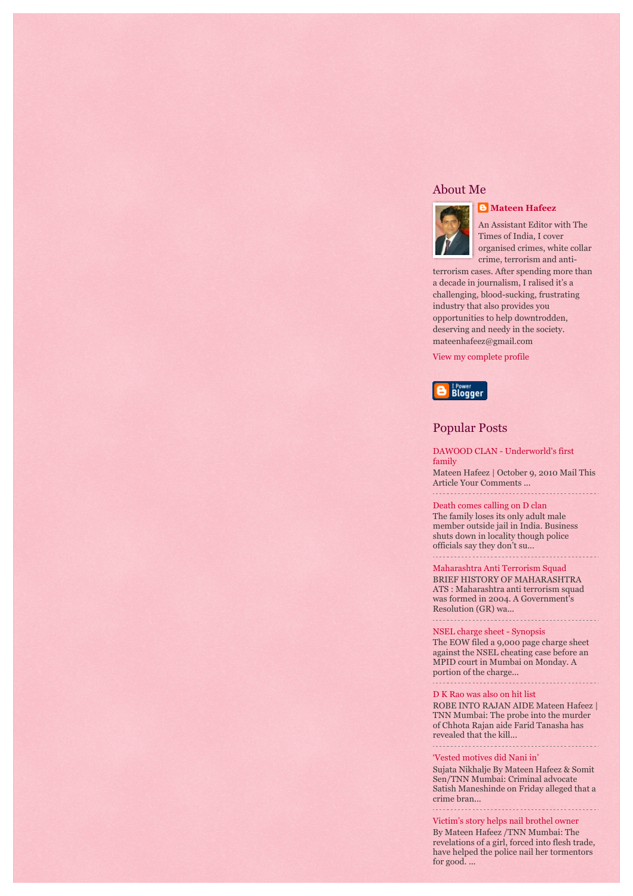### About Me



*[Mateen Hafeez](https://www.blogger.com/profile/00224423098332710610)* 

An Assistant Editor with The Times of India, I cover organised crimes, white collar crime, terrorism and anti-

terrorism cases. After spending more than a decade in journalism, I ralised it's a challenging, blood-sucking, frustrating industry that also provides you opportunities to help downtrodden, deserving and needy in the society. mateenhafeez@gmail.com

[View my complete profile](https://www.blogger.com/profile/00224423098332710610)



# Popular Posts

[DAWOOD CLAN - Underworld's first](http://mateenhafeez.blogspot.de/2010/10/dawood-clan-underworlds-first-family.html) family

Mateen Hafeez | October 9, 2010 Mail This Article Your Comments ... 

[Death comes calling on D clan](http://mateenhafeez.blogspot.de/2006/04/death-comes-calling-on-d-clan.html)

The family loses its only adult male member outside jail in India. Business shuts down in locality though police officials say they don't su... . . . . . . . . . . . . . . . . .

#### [Maharashtra Anti Terrorism Squad](http://mateenhafeez.blogspot.de/2013/05/maharashtra-anti-terroism-squad.html)

BRIEF HISTORY OF MAHARASHTRA ATS : Maharashtra anti terrorism squad was formed in 2004. A Government's Resolution (GR) wa...

[NSEL charge sheet - Synopsis](http://mateenhafeez.blogspot.de/2014/01/nsel-charge-sheet-synopsis.html)

The EOW filed a 9,000 page charge sheet against the NSEL cheating case before an MPID court in Mumbai on Monday. A portion of the charge...

[D K Rao was also on hit list](http://mateenhafeez.blogspot.de/2010/08/d-k-rao-was-also-on-hit-list.html)

ROBE INTO RAJAN AIDE Mateen Hafeez | TNN Mumbai: The probe into the murder of Chhota Rajan aide Farid Tanasha has revealed that the kill...

#### ['Vested motives did Nani in'](http://mateenhafeez.blogspot.de/2005/12/vested-motives-did-nani-in.html)

Sujata Nikhalje By Mateen Hafeez & Somit Sen/TNN Mumbai: Criminal advocate Satish Maneshinde on Friday alleged that a crime bran...

[Victim's story helps nail brothel owner](http://mateenhafeez.blogspot.de/2005/12/victims-story-helps-nail-brothel-owner.html) By Mateen Hafeez /TNN Mumbai: The revelations of a girl, forced into flesh trade, have helped the police nail her tormentors for good. ...